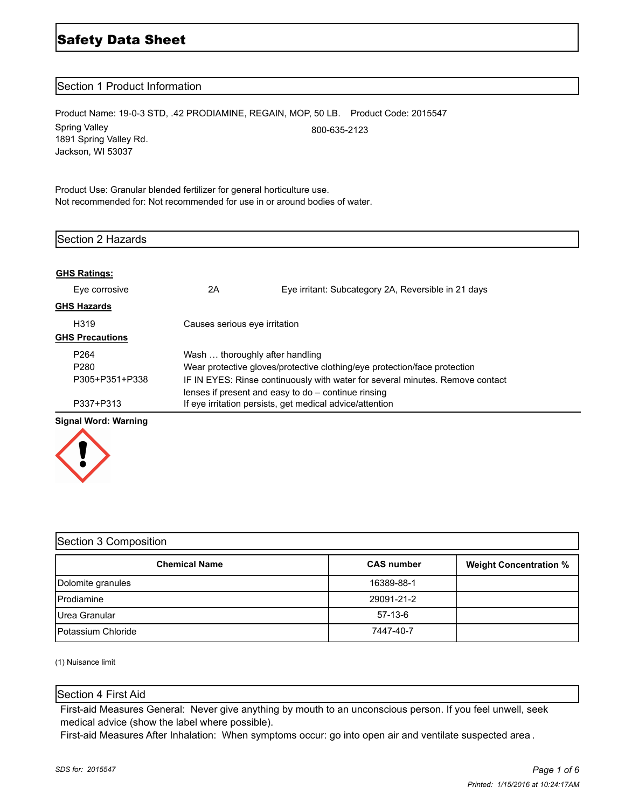# Safety Data Sheet

# Section 1 Product Information

Product Name: 19-0-3 STD, .42 PRODIAMINE, REGAIN, MOP, 50 LB. Product Code: 2015547 Spring Valley 1891 Spring Valley Rd. Jackson, WI 53037 800-635-2123

Product Use: Granular blended fertilizer for general horticulture use. Not recommended for: Not recommended for use in or around bodies of water.

| Section 2 Hazards      |                                                                               |                                                          |  |
|------------------------|-------------------------------------------------------------------------------|----------------------------------------------------------|--|
| <b>GHS Ratings:</b>    |                                                                               |                                                          |  |
| Eye corrosive          | 2A                                                                            | Eye irritant: Subcategory 2A, Reversible in 21 days      |  |
| <b>GHS Hazards</b>     |                                                                               |                                                          |  |
| H <sub>319</sub>       | Causes serious eye irritation                                                 |                                                          |  |
| <b>GHS Precautions</b> |                                                                               |                                                          |  |
| P <sub>264</sub>       | Wash  thoroughly after handling                                               |                                                          |  |
| P280                   | Wear protective gloves/protective clothing/eye protection/face protection     |                                                          |  |
| P305+P351+P338         | IF IN EYES: Rinse continuously with water for several minutes. Remove contact |                                                          |  |
|                        | lenses if present and easy to do - continue rinsing                           |                                                          |  |
| P337+P313              |                                                                               | If eye irritation persists, get medical advice/attention |  |

# **Signal Word: Warning**



| Section 3 Composition      |                   |                               |  |
|----------------------------|-------------------|-------------------------------|--|
| <b>Chemical Name</b>       | <b>CAS number</b> | <b>Weight Concentration %</b> |  |
| Dolomite granules          | 16389-88-1        |                               |  |
| <b>Prodiamine</b>          | 29091-21-2        |                               |  |
| Urea Granular              | $57-13-6$         |                               |  |
| <b>IPotassium Chloride</b> | 7447-40-7         |                               |  |

(1) Nuisance limit

# Section 4 First Aid

First-aid Measures General: Never give anything by mouth to an unconscious person. If you feel unwell, seek medical advice (show the label where possible).

First-aid Measures After Inhalation: When symptoms occur: go into open air and ventilate suspected area .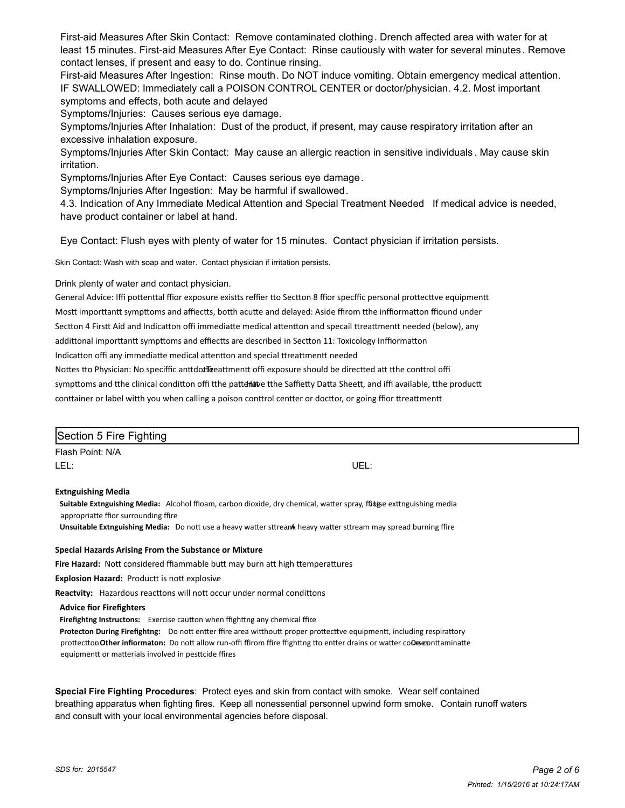First-aid Measures After Skin Contact: Remove contaminated clothing. Drench affected area with water for at least 15 minutes. First-aid Measures After Eye Contact: Rinse cautiously with water for several minutes . Remove contact lenses, if present and easy to do. Continue rinsing.

First-aid Measures After Ingestion: Rinse mouth. Do NOT induce vomiting. Obtain emergency medical attention. IF SWALLOWED: Immediately call a POISON CONTROL CENTER or doctor/physician. 4.2. Most important symptoms and effects, both acute and delayed

Symptoms/Injuries: Causes serious eye damage.

Symptoms/Injuries After Inhalation: Dust of the product, if present, may cause respiratory irritation after an excessive inhalation exposure.

Symptoms/Injuries After Skin Contact: May cause an allergic reaction in sensitive individuals . May cause skin irritation.

Symptoms/Injuries After Eye Contact: Causes serious eye damage.

Symptoms/Injuries After Ingestion: May be harmful if swallowed.

4.3. Indication of Any Immediate Medical Attention and Special Treatment Needed If medical advice is needed, have product container or label at hand.

Eye Contact: Flush eyes with plenty of water for 15 minutes. Contact physician if irritation persists.

Skin Contact: Wash with soap and water. Contact physician if irritation persists.

Drink plenty of water and contact physician.

General Advice: Iffi pottenttal ffior exposure existts reffier tto Sectton 8 ffior specffic personal prottecttve equipmentt

Mostt importtantt sympttoms and affiectts, botth acutte and delayed: Aside ffirom tthe inffiormatton ffiound under

Sectton 4 Firstt Aid and Indicatton offi immediatte medical attentton and specail ttreattmentt needed (below), any

addittonal importtantt sympttoms and effiectts are described in Sectton 11: Toxicology Inffiormatton

Indicatton offi any immediatte medical attentton and special ttreattmentt needed

Nottes tto Physician: No speciffic anttdottleeattmentt offi exposure should be directted att tthe conttrol offi

sympttoms and tthe clinical conditton offi tthe patten alve the Saffietty Datta Sheett, and iffi available, tthe productt

conttainer or label witth you when calling a poison conttrol centter or docttor, or going ffior ttreattmentt

| Section 5 Fire Fighting   |      |  |
|---------------------------|------|--|
| Flash Point: N/A          |      |  |
| LEL:                      | UEL: |  |
| <b>Extnguishing Media</b> |      |  |

Suitable Extnguishing Media: Alcohol ffioam, carbon dioxide, dry chemical, watter spray, ffiduse exttnguishing media appropriatte ffior surrounding ffire

Unsuitable Extnguishing Media: Do nott use a heavy watter sttream heavy watter sttream may spread burning ffire

#### **Special Hazards Arising From the Substance or Mixture**

Fire Hazard: Nott considered ffiammable butt may burn att high ttemperattures

**Explosion Hazard:** Productt is nott explosive

Reactvity: Hazardous reacttons will nott occur under normal condittons

#### **Advice for Firefghters**

**Firefightng Instructons:** Exercise cautton when ffighttng any chemical ffire

Protecton During Firefightng: Do nott entter ffire area witthoutt proper prottecttve equipmentt, including respirattory prottectton Other infiormaton: Do nott allow run-offi ffirom ffire ffighttng tto entter drains or watter coDesex nttaminatte equipmentt or matterials involved in pesttcide ffires

**Special Fire Fighting Procedures**: Protect eyes and skin from contact with smoke. Wear self contained breathing apparatus when fighting fires. Keep all nonessential personnel upwind form smoke. Contain runoff waters and consult with your local environmental agencies before disposal.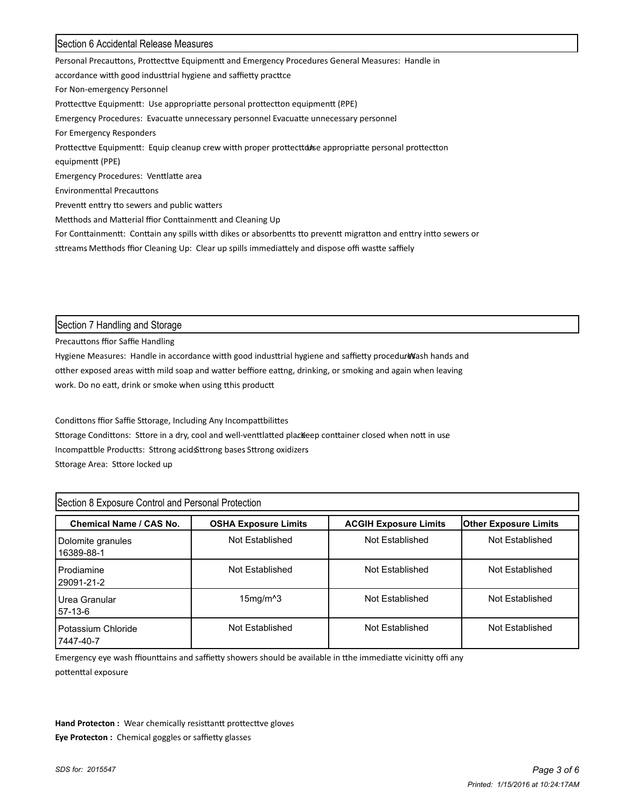# Section 6 Accidental Release Measures

Personal Precauttons, Prottecttve Equipmentt and Emergency Procedures General Measures: Handle in accordance witth good industtrial hygiene and saffietty practtce For Non-emergency Personnel Prottecttve Equipmentt: Use appropriatte personal prottectton equipmentt (PPE) Emergency Procedures: Evacuatte unnecessary personnel Evacuatte unnecessary personnel For Emergency Responders Prottecttve Equipmentt: Equip cleanup crew witth proper prottecttobse appropriatte personal prottectton equipmentt (PPE) Emergency Procedures: Venttlatte area Environmenttal Precauttons Preventt enttry tto sewers and public watters Metthods and Matterial ffior Conttainmentt and Cleaning Up For Conttainmentt: Conttain any spills witth dikes or absorbentts tto preventt migratton and enttry intto sewers or sttreams Metthods ffior Cleaning Up: Clear up spills immediattely and dispose offi wastte saffiely

Section 7 Handling and Storage

Precauttons ffior Saffie Handling

Hygiene Measures: Handle in accordance witth good industtrial hygiene and saffietty procedure sash hands and otther exposed areas witth mild soap and watter beffiore eattng, drinking, or smoking and again when leaving work. Do no eatt, drink or smoke when using tthis productt

Condittons ffior Saffie Sttorage, Including Any Incompattbilittes Sttorage Condittons: Sttore in a dry, cool and well-venttlatted plackeep conttainer closed when nott in use Incompattble Productts: Sttrong acidsStrong bases Sttrong oxidizers Sttorage Area: Sttore locked up

| Section 8 Exposure Control and Personal Protection |                                             |                              |                              |  |
|----------------------------------------------------|---------------------------------------------|------------------------------|------------------------------|--|
| Chemical Name / CAS No.                            | <b>OSHA Exposure Limits</b>                 | <b>ACGIH Exposure Limits</b> | <b>Other Exposure Limits</b> |  |
| Dolomite granules<br>16389-88-1                    | Not Established                             | Not Established              | Not Established              |  |
| l Prodiamine<br>29091-21-2                         | Not Established                             | Not Established              | Not Established              |  |
| HJrea Granular<br>57-13-6                          | $15$ mg/m <sup><math>\text{A}</math>3</sup> | Not Established              | Not Established              |  |
| l Potassium Chloride<br>7447-40-7                  | Not Established                             | Not Established              | Not Established              |  |

Emergency eye wash ffiounttains and saffietty showers should be available in tthe immediatte vicinitty offi any pottenttal exposure

Hand Protecton : Wear chemically resisttantt prottecttve gloves **Eye Protecton :** Chemical goggles or saffietty glasses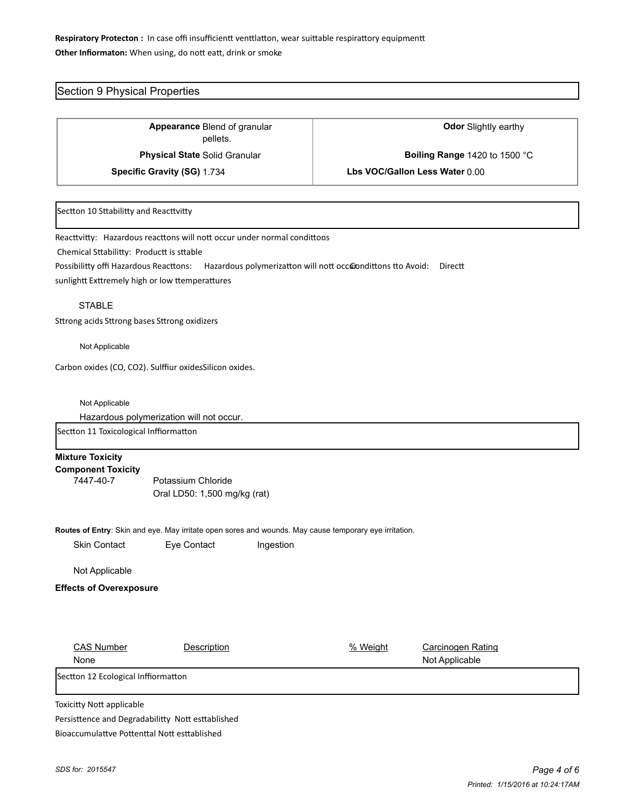# Respiratory Protecton : In case offi insufficientt venttlatton, wear suittable respirattory equipmentt Other Infiormaton: When using, do nott eatt, drink or smoke

# Section 9 Physical Properties

Blend of granular **Appearance Odor** Slightly earthy pellets. **Physical State** Solid Granular **Boiling Range** 1420 to 1500 °C

**Specific Gravity (SG)** 1.734 **Lbs VOC/Gallon Less Water** 0.00

#### Sectton 10 Sttabilitty and Reacttvitty

Reacttvitty: Hazardous reacttons will nott occur under normal condittons

Chemical Sttabilitty: Productt is sttable

Possibilitty offi Hazardous Reacttons: Hazardous polymerizatton will nott occ@ondittons tto Avoid: Directt

sunlightt Exttremely high or low ttemperattures

#### STABLE

Sttrong acids Sttrong bases Sttrong oxidizers

Not Applicable

Carbon oxides (CO, CO2). Sulffiur oxidesSilicon oxides.

Not Applicable

Hazardous polymerization will not occur.

Sectton 11 Toxicological Inffiormatton

|  | <b>Mixture Toxicity</b> |
|--|-------------------------|
|--|-------------------------|

**Component Toxicity** 7447-40-7 Potassium Chloride Oral LD50: 1,500 mg/kg (rat)

**Routes of Entry**: Skin and eye. May irritate open sores and wounds. May cause temporary eye irritation.

| <b>Skin Contact</b> | Eye Contact | Ingestion |
|---------------------|-------------|-----------|
|                     |             |           |

Not Applicable

#### **Effects of Overexposure**

| <b>CAS Number</b>                   | Description | % Weight | Carcinogen Rating |
|-------------------------------------|-------------|----------|-------------------|
| None                                |             |          | Not Applicable    |
| Sectton 12 Ecological Inffiormatton |             |          |                   |

Toxicitty Nott applicable

Persisttence and Degradabilitty Nott esttablished Bioaccumulattye Pottenttal Nott esttablished.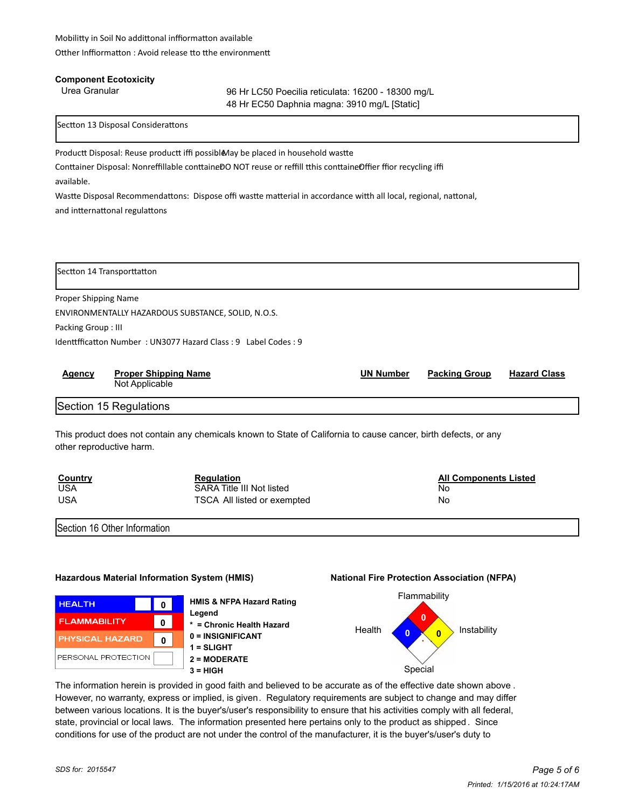#### **Component Ecotoxicity**

Urea Granular 96 Hr LC50 Poecilia reticulata: 16200 - 18300 mg/L 48 Hr EC50 Daphnia magna: 3910 mg/L [Static]

Sectton 13 Disposal Considerattons

Productt Disposal: Reuse productt iffi possible May be placed in household wastte

Conttainer Disposal: Nonreffillable conttaineDO NOT reuse or reffill tthis conttaineOffier ffior recycling iffi available.

Wastte Disposal Recommendattons: Dispose offi wastte matterial in accordance witth all local, regional, nattonal, and intternattonal regulattons

Sectton 14 Transporttatton

Proper Shipping Name ENVIRONMENTALLY HAZARDOUS SUBSTANCE, SOLID, N.O.S. Packing Group : III Identtfficatton Number: UN3077 Hazard Class: 9 Label Codes: 9

| Agency | <b>Proper Shipping Name</b> | <b>UN Number</b> | <b>Packing Group</b> | <b>Hazard Class</b> |
|--------|-----------------------------|------------------|----------------------|---------------------|
|        | Not Applicable              |                  |                      |                     |

Section 15 Regulations

This product does not contain any chemicals known to State of California to cause cancer, birth defects, or any other reproductive harm.

| <b>Country</b> | <b>Regulation</b>           | <b>All Components Listed</b> |
|----------------|-----------------------------|------------------------------|
| <b>USA</b>     | SARA Title III Not listed   | Nc                           |
| <b>USA</b>     | TSCA All listed or exempted | No                           |

Section 16 Other Information

# **Hazardous Material Information System (HMIS) National Fire Protection Association (NFPA)**



**HMIS & NFPA Hazard Rating Legend \* = Chronic Health Hazard 0 = INSIGNIFICANT 1 = SLIGHT 2 = MODERATE 3 = HIGH** Special



The information herein is provided in good faith and believed to be accurate as of the effective date shown above . However, no warranty, express or implied, is given. Regulatory requirements are subject to change and may differ between various locations. It is the buyer's/user's responsibility to ensure that his activities comply with all federal, state, provincial or local laws. The information presented here pertains only to the product as shipped . Since conditions for use of the product are not under the control of the manufacturer, it is the buyer's/user's duty to